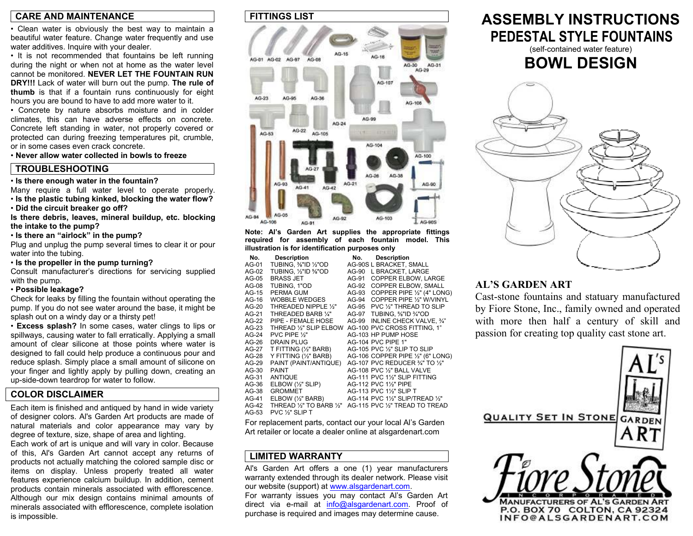#### **CARE AND MAINTENANCE**

• Clean water is obviously the best way to maintain a beautiful water feature. Change water frequently and use water additives. Inquire with your dealer.

• It is not recommended that fountains be left running during the night or when not at home as the water level cannot be monitored. **NEVER LET THE FOUNTAIN RUN DRY!!!** Lack of water will burn out the pump. **The rule of thumb** is that if a fountain runs continuously for eight hours you are bound to have to add more water to it.

• Concrete by nature absorbs moisture and in colder climates, this can have adverse effects on concrete. Concrete left standing in water, not properly covered or protected can during freezing temperatures pit, crumble, or in some cases even crack concrete.

• **Never allow water collected in bowls to freeze**

### **TROUBLESHOOTING**

#### • **Is there enough water in the fountain?**

Many require a full water level to operate properly. • **Is the plastic tubing kinked, blocking the water flow?** 

• **Did the circuit breaker go off?** 

**Is there debris, leaves, mineral buildup, etc. blocking the intake to the pump?** 

• **Is there an "airlock" in the pump?** 

Plug and unplug the pump several times to clear it or pour water into the tubing.

• **Is the propeller in the pump turning?** 

Consult manufacturer's directions for servicing supplied with the pump.

#### • **Possible leakage?**

Check for leaks by filling the fountain without operating the pump. If you do not see water around the base, it might be splash out on a windy day or a thirsty pet!

• **Excess splash?** In some cases, water clings to lips or spillways, causing water to fall erratically. Applying a small amount of clear silicone at those points where water is designed to fall could help produce a continuous pour and reduce splash. Simply place a small amount of silicone on your finger and lightly apply by pulling down, creating an up-side-down teardrop for water to follow.

### **COLOR DISCLAIMER**

Each item is finished and antiqued by hand in wide variety of designer colors. Al's Garden Art products are made of natural materials and color appearance may vary by degree of texture, size, shape of area and lighting.

Each work of art is unique and will vary in color. Because of this, Al's Garden Art cannot accept any returns of products not actually matching the colored sample disc or items on display. Unless properly treated all water features experience calcium buildup. In addition, cement products contain minerals associated with efflorescence. Although our mix design contains minimal amounts of minerals associated with efflorescence, complete isolation is impossible.

#### **FITTINGS LIST**



**Note: Al's Garden Art supplies the appropriate fittings required for assembly of each fountain model. This illustration is for identification purposes only** 

| No.     | <b>Description</b>           | No.   | <b>Description</b>                |
|---------|------------------------------|-------|-----------------------------------|
| AG-01   | TUBING, %"ID ½"OD            |       | AG-90S L BRACKET, SMALL           |
| AG-02   | TUBING, 1/2"ID %"OD          | AG-90 | L BRACKET, LARGE                  |
| AG-05   | <b>BRASS JET</b>             | AG-91 | <b>COPPER ELBOW. LARGE</b>        |
| AG-08   | TUBING, 1"OD                 | AG-92 | <b>COPPER ELBOW, SMALL</b>        |
| AG-15   | PERMA GUM                    | AG-93 | COPPER PIPE 1/2" (4" LONG)        |
| AG-16   | <b>WOBBLE WEDGES</b>         | AG-94 | COPPER PIPE 1/2" W/VINYL          |
| $AG-20$ | THREADED NIPPLE 1/3"         | AG-95 | PVC 1/3" THREAD TO SLIP           |
| AG-21   | THREADED BARB 1/4"           | AG-97 | TUBING, %"ID %"OD                 |
| AG-22   | PIPE - FEMALE HOSE           | AG-99 | INLINE CHECK VALVE, 3/4"          |
| $AG-23$ | THREAD 1/2" SLIP ELBOW       |       | AG-100 PVC CROSS FITTING, 1"      |
| $AG-24$ | PVC PIPE 1/2"                |       | AG-103 HP PUMP HOSE               |
| AG-26   | DRAIN PLUG                   |       | AG-104 PVC PIPE 1"                |
| AG-27   | T FITTING (1/2" BARB)        |       | AG-105 PVC 1/2" SLIP TO SLIP      |
| AG-28   | Y FITTING (1/2" BARB)        |       | AG-106 COPPER PIPE 1/2" (6" LONG) |
| AG-29   | PAINT (PAINT/ANTIQUE)        |       | AG-107 PVC REDUCER 3/4" TO 1/2"   |
| AG-30   | <b>PAINT</b>                 |       | AG-108 PVC 1/2" BALL VALVE        |
| AG-31   | <b>ANTIQUE</b>               |       | AG-111 PVC 1½" SLIP FITTING       |
| AG-36   | ELBOW (1/2" SLIP)            |       | AG-112 PVC 11/2" PIPE             |
| AG-38   | <b>GROMMET</b>               |       | AG-113 PVC 11/2" SLIP T           |
| AG-41   | ELBOW (1/2" BARB)            |       | AG-114 PVC 1½" SLIP/TREAD 1⁄2"    |
| $AG-42$ | THREAD 1/2" TO BARB 1/2"     |       | AG-115 PVC 1/2" TREAD TO TREAD    |
| $AG-53$ | PVC 1/ <sub>2</sub> " SLIP T |       |                                   |

For replacement parts, contact our your local Al's Garden Art retailer or locate a dealer online at alsgardenart.com

## **LIMITED WARRANTY**

Al's Garden Art offers a one (1) year manufacturers warranty extended through its dealer network. Please visit our website (support) at www.alsgardenart.com. For warranty issues you may contact Al's Garden Art direct via e-mail at info@alsgardenart.com. Proof of purchase is required and images may determine cause.

## **ASSEMBLY INSTRUCTIONS PEDESTAL STYLE FOUNTAINS**

(self-contained water feature)

## **BOWL DESIGN**



## **AL'S GARDEN ART**

Cast-stone fountains and statuary manufactured by Fiore Stone, Inc., family owned and operate d with more then half a century of skill an dpassion for creating top quality cast stone art.

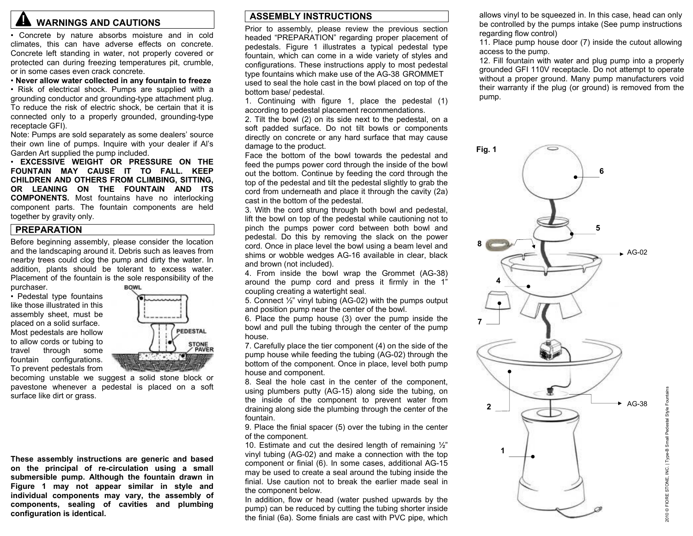# **AL WARNINGS AND CAUTIONS**

• Concrete by nature absorbs moisture and in cold climates, this can have adverse effects on concrete. Concrete left standing in water, not properly covered or protected can during freezing temperatures pit, crumble, or in some cases even crack concrete.

• **Never allow water collected in any fountain to freeze** 

• Risk of electrical shock. Pumps are supplied with a grounding conductor and grounding-type attachment plug. To reduce the risk of electric shock, be certain that it is connected only to a properly grounded, grounding-type receptacle GFI).

Note: Pumps are sold separately as some dealers' source their own line of pumps. Inquire with your dealer if Al's Garden Art supplied the pump included.

• **EXCESSIVE WEIGHT OR PRESSURE ON THE FOUNTAIN MAY CAUSE IT TO FALL. KEEP CHILDREN AND OTHERS FROM CLIMBING, SITTING, OR LEANING ON THE FOUNTAIN AND ITS COMPONENTS.** Most fountains have no interlocking component parts. The fountain components are held together by gravity only.

#### **PREPARATION**

Before beginning assembly, please consider the location and the landscaping around it. Debris such as leaves from nearby trees could clog the pump and dirty the water. In addition, plants should be tolerant to excess water. Placement of the fountain is the sole responsibility of the purchaser. **BOWL** 

• Pedestal type fountains like those illustrated in this assembly sheet, must be placed on a solid surface. Most pedestals are hollow to allow cords or tubing to travel through some fountain configurations. To prevent pedestals from



becoming unstable we suggest a solid stone block or pavestone whenever a pedestal is placed on a soft surface like dirt or grass.

**These assembly instructions are generic and based on the principal of re-circulation using a small submersible pump. Although the fountain drawn in Figure 1 may not appear similar in style and individual components may vary, the assembly of components, sealing of cavities and plumbing configuration is identical.** 

### **ASSEMBLY INSTRUCTIONS**

Prior to assembly, please review the previous section headed "PREPARATION" regarding proper placement of pedestals. Figure 1 illustrates a typical pedestal type fountain, which can come in a wide variety of styles and configurations. These instructions apply to most pedestal type fountains which make use of the AG-38 GROMMET used to seal the hole cast in the bowl placed on top of the bottom base/ pedestal.

1. Continuing with figure 1, place the pedestal (1) according to pedestal placement recommendations.

2. Tilt the bowl (2) on its side next to the pedestal, on a soft padded surface. Do not tilt bowls or components directly on concrete or any hard surface that may cause damage to the product.

Face the bottom of the bowl towards the pedestal and feed the pumps power cord through the inside of the bowl out the bottom. Continue by feeding the cord through the top of the pedestal and tilt the pedestal slightly to grab the cord from underneath and place it through the cavity (2a) cast in the bottom of the pedestal.

3. With the cord strung through both bowl and pedestal, lift the bowl on top of the pedestal while cautioning not to pinch the pumps power cord between both bowl and pedestal. Do this by removing the slack on the power cord. Once in place level the bowl using a beam level and shims or wobble wedges AG-16 available in clear, black and brown (not included).

4. From inside the bowl wrap the Grommet (AG-38) around the pump cord and press it firmly in the 1" coupling creating a watertight seal.

5. Connect ½" vinyl tubing (AG-02) with the pumps output and position pump near the center of the bowl.

6. Place the pump house (3) over the pump inside the bowl and pull the tubing through the center of the pump house.

7. Carefully place the tier component (4) on the side of the pump house while feeding the tubing (AG-02) through the bottom of the component. Once in place, level both pump house and component.

8. Seal the hole cast in the center of the component, using plumbers putty (AG-15) along side the tubing, on the inside of the component to prevent water from draining along side the plumbing through the center of the fountain.

9. Place the finial spacer (5) over the tubing in the center of the component.

10. Estimate and cut the desired length of remaining ½" vinyl tubing (AG-02) and make a connection with the top component or finial (6). In some cases, additional AG-15 may be used to create a seal around the tubing inside the finial. Use caution not to break the earlier made seal in the component below.

In addition, flow or head (water pushed upwards by the pump) can be reduced by cutting the tubing shorter inside the finial (6a). Some finials are cast with PVC pipe, which allows vinyl to be squeezed in. In this case, head can only be controlled by the pumps intake (See pump instructions regarding flow control)

11. Place pump house door (7) inside the cutout allowing access to the pump.

12. Fill fountain with water and plug pump into a properly grounded GFI 110V receptacle. Do not attempt to operate without a proper ground. Many pump manufacturers void their warranty if the plug (or ground) is removed from the pump.

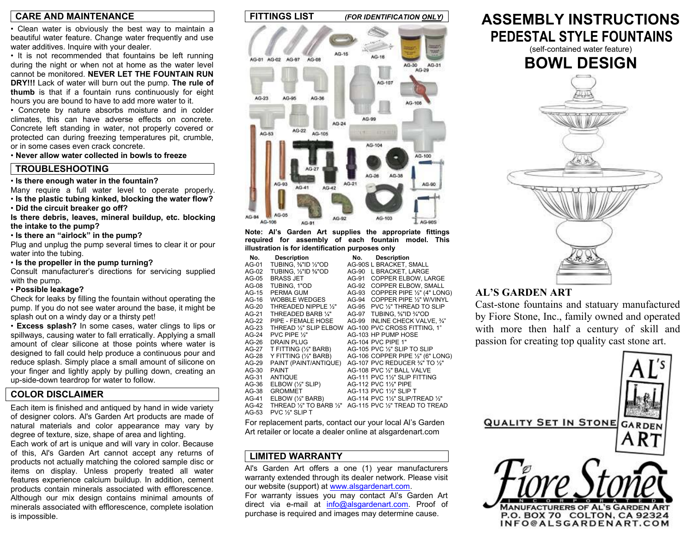#### **CARE AND MAINTENANCE**

• Clean water is obviously the best way to maintain a beautiful water feature. Change water frequently and use water additives. Inquire with your dealer.

• It is not recommended that fountains be left running during the night or when not at home as the water level cannot be monitored. **NEVER LET THE FOUNTAIN RUN DRY!!!** Lack of water will burn out the pump. **The rule of thumb** is that if a fountain runs continuously for eight hours you are bound to have to add more water to it.

• Concrete by nature absorbs moisture and in colder climates, this can have adverse effects on concrete. Concrete left standing in water, not properly covered or protected can during freezing temperatures pit, crumble, or in some cases even crack concrete.

• **Never allow water collected in bowls to freeze**

#### **TROUBLESHOOTING**

• **Is there enough water in the fountain?** 

Many require a full water level to operate properly. • **Is the plastic tubing kinked, blocking the water flow?** 

• **Did the circuit breaker go off?** 

**Is there debris, leaves, mineral buildup, etc. blocking the intake to the pump?** 

• **Is there an "airlock" in the pump?** 

Plug and unplug the pump several times to clear it or pour water into the tubing.

• **Is the propeller in the pump turning?** 

Consult manufacturer's directions for servicing supplied with the pump.

#### • **Possible leakage?**

Check for leaks by filling the fountain without operating the pump. If you do not see water around the base, it might be splash out on a windy day or a thirsty pet!

• **Excess splash?** In some cases, water clings to lips or spillways, causing water to fall erratically. Applying a small amount of clear silicone at those points where water is designed to fall could help produce a continuous pour and reduce splash. Simply place a small amount of silicone on your finger and lightly apply by pulling down, creating an up-side-down teardrop for water to follow.

#### **COLOR DISCLAIMER**

Each item is finished and antiqued by hand in wide variety of designer colors. Al's Garden Art products are made of natural materials and color appearance may vary by degree of texture, size, shape of area and lighting.

Each work of art is unique and will vary in color. Because of this, Al's Garden Art cannot accept any returns of products not actually matching the colored sample disc or items on display. Unless properly treated all water features experience calcium buildup. In addition, cement products contain minerals associated with efflorescence. Although our mix design contains minimal amounts of minerals associated with efflorescence, complete isolation is impossible.



**Note: Al's Garden Art supplies the appropriate fittings required for assembly of each fountain model. This illustration is for identification purposes only** 

| No.     | <b>Description</b>                             | No.   | <b>Description</b>                |
|---------|------------------------------------------------|-------|-----------------------------------|
| AG-01   | TUBING, 1/8"ID 1/2"OD                          |       | AG-90S L BRACKET, SMALL           |
| AG-02   | TUBING. 1/2"ID %"OD                            | AG-90 | L BRACKET, LARGE                  |
| AG-05   | <b>BRASS JET</b>                               | AG-91 | <b>COPPER ELBOW. LARGE</b>        |
| AG-08   | TUBING, 1"OD                                   | AG-92 | <b>COPPER ELBOW, SMALL</b>        |
| AG-15   | PERMA GUM                                      | AG-93 | COPPER PIPE 1/2" (4" LONG)        |
| AG-16   | <b>WOBBLE WEDGES</b>                           | AG-94 | COPPER PIPE 1/2" W/VINYL          |
| $AG-20$ | THREADED NIPPLE 1/3"                           | AG-95 | PVC 1/2" THREAD TO SLIP           |
| AG-21   | THREADED BARB 1/4"                             | AG-97 | TUBING, %"ID %"OD                 |
| AG-22   | PIPE - FEMALE HOSE                             | AG-99 | INLINE CHECK VALVE, 3/4"          |
| $AG-23$ | THREAD 1/3" SLIP ELBOW                         |       | AG-100 PVC CROSS FITTING, 1"      |
| $AG-24$ | PVC PIPE $\frac{1}{2}$ "                       |       | AG-103 HP PUMP HOSE               |
| AG-26   | <b>DRAIN PLUG</b>                              |       | AG-104 PVC PIPE 1"                |
| AG-27   | T FITTING (1/2" BARB)                          |       | AG-105 PVC 1/2" SLIP TO SLIP      |
| AG-28   | Y FITTING (1/2" BARB)                          |       | AG-106 COPPER PIPE 1/2" (6" LONG) |
| AG-29   | PAINT (PAINT/ANTIQUE)                          |       | AG-107 PVC REDUCER 3/4" TO 1/2"   |
| AG-30   | <b>PAINT</b>                                   |       | AG-108 PVC 1/2" BALL VALVE        |
| AG-31   | <b>ANTIQUE</b>                                 |       | AG-111 PVC 1½" SLIP FITTING       |
| AG-36   | $E$ LBOW $(\frac{1}{2}$ " SLIP)                |       | AG-112 PVC 11/2" PIPE             |
| AG-38   | <b>GROMMET</b>                                 |       | AG-113 PVC 11/2" SLIP T           |
| AG-41   | ELBOW (1/2" BARB)                              |       | AG-114 PVC 11/2" SLIP/TREAD 1/2"  |
| $AG-42$ | THREAD $\frac{1}{2}$ " TO BARB $\frac{1}{2}$ " |       | AG-115 PVC 1/2" TREAD TO TREAD    |
| $AG-53$ | PVC 1/ <sub>2</sub> " SLIP T                   |       |                                   |

For replacement parts, contact our your local Al's Garden Art retailer or locate a dealer online at alsgardenart.com

### **LIMITED WARRANTY**

Al's Garden Art offers a one (1) year manufacturers warranty extended through its dealer network. Please visit our website (support) at www.alsgardenart.com. For warranty issues you may contact Al's Garden Art direct via e-mail at info@alsgardenart.com. Proof of purchase is required and images may determine cause.

## **ASSEMBLY INSTRUCTIONS PEDESTAL STYLE FOUNTAINS**

(self-contained water feature)

## **BOWL DESIGN**



## **AL'S GARDEN ART**

Cast-stone fountains and statuary manufactured by Fiore Stone, Inc., family owned and operate d with more then half a century of skill an dpassion for creating top quality cast stone art.